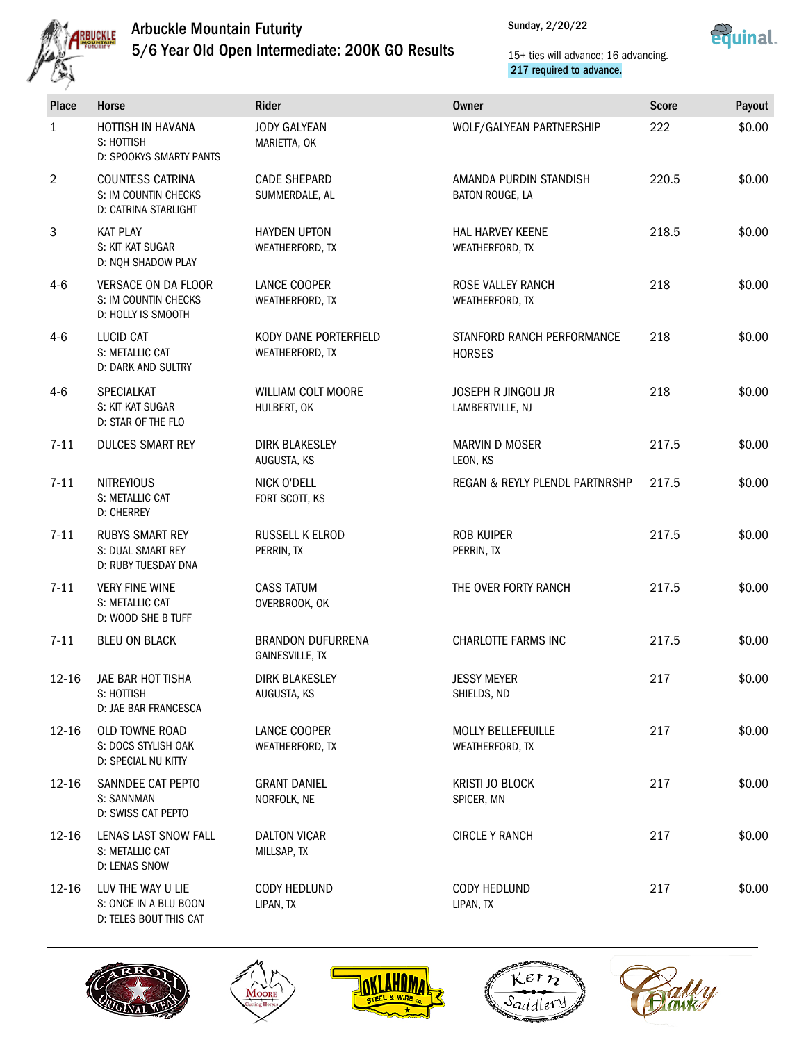

## Arbuckle Mountain Futurity

5/6 Year Old Open Intermediate: 200K GO Results



15+ ties will advance; 16 advancing. 217 required to advance.

| <b>Place</b>   | Horse                                                                   | Rider                                       | Owner                                        | <b>Score</b> | Payout |
|----------------|-------------------------------------------------------------------------|---------------------------------------------|----------------------------------------------|--------------|--------|
| $\mathbf{1}$   | HOTTISH IN HAVANA<br>S: HOTTISH<br>D: SPOOKYS SMARTY PANTS              | <b>JODY GALYEAN</b><br>MARIETTA, OK         | WOLF/GALYEAN PARTNERSHIP                     | 222          | \$0.00 |
| $\overline{2}$ | <b>COUNTESS CATRINA</b><br>S: IM COUNTIN CHECKS<br>D: CATRINA STARLIGHT | <b>CADE SHEPARD</b><br>SUMMERDALE, AL       | AMANDA PURDIN STANDISH<br>BATON ROUGE, LA    | 220.5        | \$0.00 |
| 3              | <b>KAT PLAY</b><br>S: KIT KAT SUGAR<br>D: NQH SHADOW PLAY               | <b>HAYDEN UPTON</b><br>WEATHERFORD, TX      | <b>HAL HARVEY KEENE</b><br>WEATHERFORD, TX   | 218.5        | \$0.00 |
| $4 - 6$        | VERSACE ON DA FLOOR<br>S: IM COUNTIN CHECKS<br>D: HOLLY IS SMOOTH       | LANCE COOPER<br>WEATHERFORD, TX             | ROSE VALLEY RANCH<br>WEATHERFORD, TX         | 218          | \$0.00 |
| $4-6$          | <b>LUCID CAT</b><br>S: METALLIC CAT<br>D: DARK AND SULTRY               | KODY DANE PORTERFIELD<br>WEATHERFORD, TX    | STANFORD RANCH PERFORMANCE<br><b>HORSES</b>  | 218          | \$0.00 |
| $4-6$          | SPECIALKAT<br>S: KIT KAT SUGAR<br>D: STAR OF THE FLO                    | <b>WILLIAM COLT MOORE</b><br>HULBERT, OK    | JOSEPH R JINGOLI JR<br>LAMBERTVILLE, NJ      | 218          | \$0.00 |
| $7 - 11$       | <b>DULCES SMART REY</b>                                                 | <b>DIRK BLAKESLEY</b><br>AUGUSTA, KS        | <b>MARVIN D MOSER</b><br>LEON, KS            | 217.5        | \$0.00 |
| $7 - 11$       | <b>NITREYIOUS</b><br>S: METALLIC CAT<br><b>D: CHERREY</b>               | NICK O'DELL<br>FORT SCOTT, KS               | REGAN & REYLY PLENDL PARTNRSHP               | 217.5        | \$0.00 |
| $7 - 11$       | <b>RUBYS SMART REY</b><br>S: DUAL SMART REY<br>D: RUBY TUESDAY DNA      | RUSSELL K ELROD<br>PERRIN, TX               | <b>ROB KUIPER</b><br>PERRIN, TX              | 217.5        | \$0.00 |
| $7 - 11$       | <b>VERY FINE WINE</b><br>S: METALLIC CAT<br>D: WOOD SHE B TUFF          | <b>CASS TATUM</b><br>OVERBROOK, OK          | THE OVER FORTY RANCH                         | 217.5        | \$0.00 |
| $7 - 11$       | <b>BLEU ON BLACK</b>                                                    | <b>BRANDON DUFURRENA</b><br>GAINESVILLE, TX | CHARLOTTE FARMS INC                          | 217.5        | \$0.00 |
| 12-16          | JAE BAR HOT TISHA<br>S: HOTTISH<br>D: JAE BAR FRANCESCA                 | <b>DIRK BLAKESLEY</b><br>AUGUSTA, KS        | Jessy Meyer<br>SHIELDS, ND                   | 217          | \$0.00 |
| 12-16          | OLD TOWNE ROAD<br>S: DOCS STYLISH OAK<br>D: SPECIAL NU KITTY            | LANCE COOPER<br>WEATHERFORD, TX             | <b>MOLLY BELLEFEUILLE</b><br>WEATHERFORD, TX | 217          | \$0.00 |
| 12-16          | SANNDEE CAT PEPTO<br>S: SANNMAN<br>D: SWISS CAT PEPTO                   | <b>GRANT DANIEL</b><br>NORFOLK, NE          | KRISTI JO BLOCK<br>SPICER, MN                | 217          | \$0.00 |
| 12-16          | LENAS LAST SNOW FALL<br>S: METALLIC CAT<br>D: LENAS SNOW                | <b>DALTON VICAR</b><br>MILLSAP, TX          | <b>CIRCLE Y RANCH</b>                        | 217          | \$0.00 |
| 12-16          | LUV THE WAY U LIE<br>S: ONCE IN A BLU BOON<br>D: TELES BOUT THIS CAT    | CODY HEDLUND<br>LIPAN, TX                   | CODY HEDLUND<br>LIPAN, TX                    | 217          | \$0.00 |









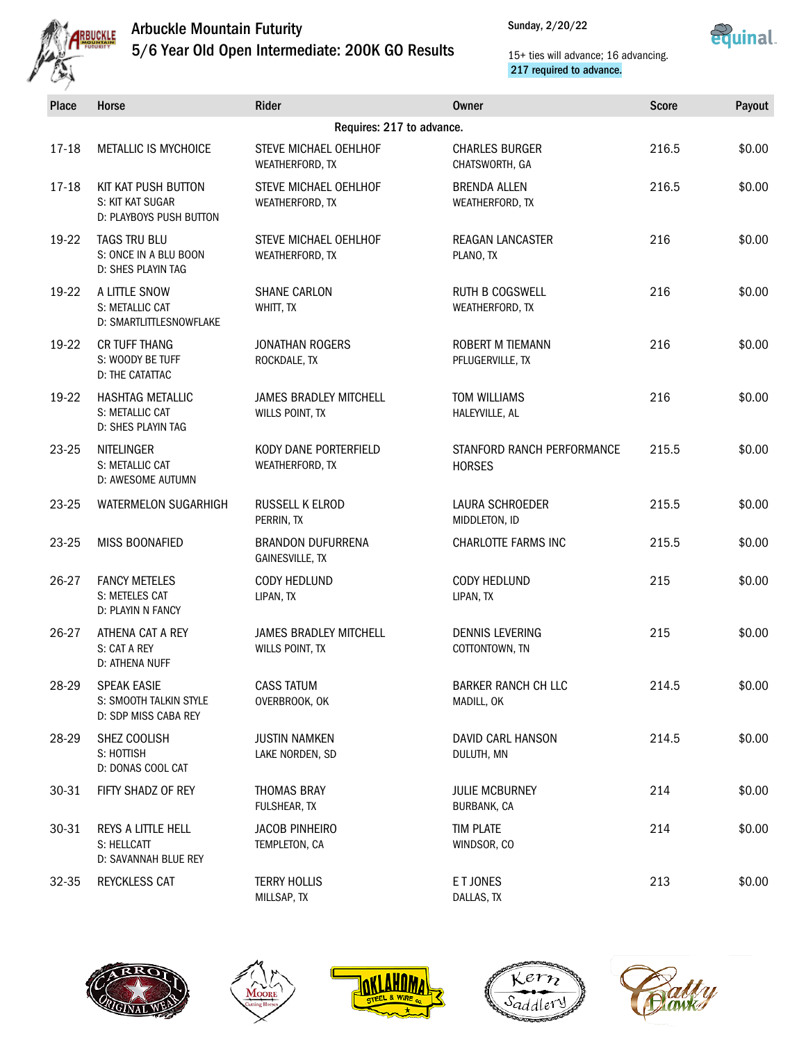

## Arbuckle Mountain Futurity 5/6 Year Old Open Intermediate: 200K GO Results



15+ ties will advance; 16 advancing. 217 required to advance.

| Place                     | Horse                                                                | Rider                                            | Owner                                       | <b>Score</b> | Payout |  |
|---------------------------|----------------------------------------------------------------------|--------------------------------------------------|---------------------------------------------|--------------|--------|--|
| Requires: 217 to advance. |                                                                      |                                                  |                                             |              |        |  |
| 17-18                     | METALLIC IS MYCHOICE                                                 | STEVE MICHAEL OEHLHOF<br>WEATHERFORD, TX         | <b>CHARLES BURGER</b><br>CHATSWORTH, GA     | 216.5        | \$0.00 |  |
| $17 - 18$                 | KIT KAT PUSH BUTTON<br>S: KIT KAT SUGAR<br>D: PLAYBOYS PUSH BUTTON   | STEVE MICHAEL OEHLHOF<br>WEATHERFORD, TX         | <b>BRENDA ALLEN</b><br>WEATHERFORD, TX      | 216.5        | \$0.00 |  |
| 19-22                     | TAGS TRU BLU<br>S: ONCE IN A BLU BOON<br>D: SHES PLAYIN TAG          | STEVE MICHAEL OEHLHOF<br>WEATHERFORD, TX         | <b>REAGAN LANCASTER</b><br>PLANO, TX        | 216          | \$0.00 |  |
| 19-22                     | A LITTLE SNOW<br>S: METALLIC CAT<br>D: SMARTLITTLESNOWFLAKE          | <b>SHANE CARLON</b><br>WHITT, TX                 | <b>RUTH B COGSWELL</b><br>WEATHERFORD, TX   | 216          | \$0.00 |  |
| 19-22                     | <b>CR TUFF THANG</b><br>S: WOODY BE TUFF<br>D: THE CATATTAC          | <b>JONATHAN ROGERS</b><br>ROCKDALE, TX           | ROBERT M TIEMANN<br>PFLUGERVILLE, TX        | 216          | \$0.00 |  |
| 19-22                     | <b>HASHTAG METALLIC</b><br>S: METALLIC CAT<br>D: SHES PLAYIN TAG     | <b>JAMES BRADLEY MITCHELL</b><br>WILLS POINT, TX | <b>TOM WILLIAMS</b><br>HALEYVILLE, AL       | 216          | \$0.00 |  |
| 23-25                     | <b>NITELINGER</b><br>S: METALLIC CAT<br>D: AWESOME AUTUMN            | KODY DANE PORTERFIELD<br>WEATHERFORD, TX         | STANFORD RANCH PERFORMANCE<br><b>HORSES</b> | 215.5        | \$0.00 |  |
| 23-25                     | WATERMELON SUGARHIGH                                                 | RUSSELL K ELROD<br>PERRIN, TX                    | LAURA SCHROEDER<br>MIDDLETON, ID            | 215.5        | \$0.00 |  |
| 23-25                     | MISS BOONAFIED                                                       | <b>BRANDON DUFURRENA</b><br>GAINESVILLE, TX      | CHARLOTTE FARMS INC                         | 215.5        | \$0.00 |  |
| 26-27                     | <b>FANCY METELES</b><br>S: METELES CAT<br>D: PLAYIN N FANCY          | CODY HEDLUND<br>LIPAN, TX                        | CODY HEDLUND<br>LIPAN, TX                   | 215          | \$0.00 |  |
| 26-27                     | ATHENA CAT A REY<br>S: CAT A REY<br>D: ATHENA NUFF                   | <b>JAMES BRADLEY MITCHELL</b><br>WILLS POINT, TX | <b>DENNIS LEVERING</b><br>COTTONTOWN, TN    | 215          | \$0.00 |  |
| 28-29                     | <b>SPEAK EASIE</b><br>S: SMOOTH TALKIN STYLE<br>D: SDP MISS CABA REY | CASS TATUM<br>OVERBROOK, OK                      | BARKER RANCH CH LLC<br>MADILL, OK           | 214.5        | \$0.00 |  |
| 28-29                     | SHEZ COOLISH<br>S: HOTTISH<br>D: DONAS COOL CAT                      | <b>JUSTIN NAMKEN</b><br>LAKE NORDEN, SD          | DAVID CARL HANSON<br>DULUTH, MN             | 214.5        | \$0.00 |  |
| 30-31                     | FIFTY SHADZ OF REY                                                   | THOMAS BRAY<br>FULSHEAR, TX                      | <b>JULIE MCBURNEY</b><br>BURBANK, CA        | 214          | \$0.00 |  |
| 30-31                     | REYS A LITTLE HELL<br>S: HELLCATT<br>D: SAVANNAH BLUE REY            | <b>JACOB PINHEIRO</b><br>TEMPLETON, CA           | <b>TIM PLATE</b><br>WINDSOR, CO             | 214          | \$0.00 |  |
| 32-35                     | REYCKLESS CAT                                                        | <b>TERRY HOLLIS</b><br>MILLSAP, TX               | E T JONES<br>DALLAS, TX                     | 213          | \$0.00 |  |









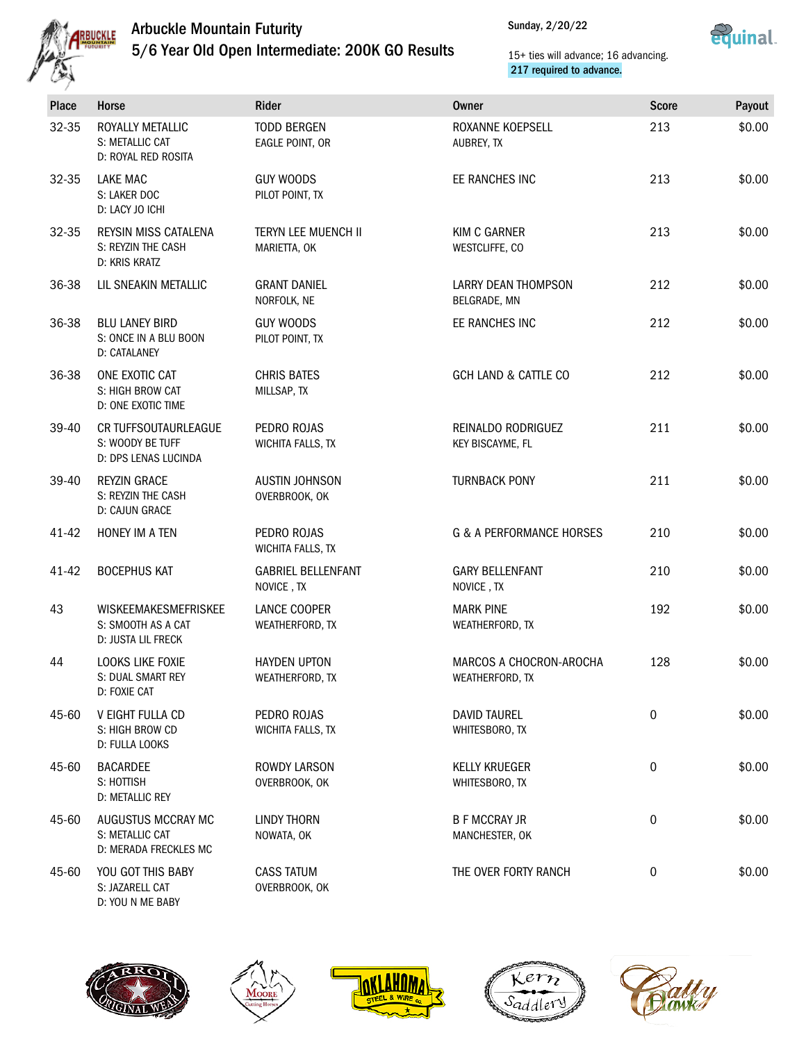

## Arbuckle Mountain Futurity

5/6 Year Old Open Intermediate: 200K GO Results



15+ ties will advance; 16 advancing. 217 required to advance.

| <b>Place</b> | Horse                                                            | Rider                                      | <b>Owner</b>                               | <b>Score</b> | Payout |
|--------------|------------------------------------------------------------------|--------------------------------------------|--------------------------------------------|--------------|--------|
| 32-35        | ROYALLY METALLIC<br>S: METALLIC CAT<br>D: ROYAL RED ROSITA       | <b>TODD BERGEN</b><br>EAGLE POINT, OR      | ROXANNE KOEPSELL<br>AUBREY, TX             | 213          | \$0.00 |
| 32-35        | LAKE MAC<br>S: LAKER DOC<br>D: LACY JO ICHI                      | <b>GUY WOODS</b><br>PILOT POINT, TX        | EE RANCHES INC                             | 213          | \$0.00 |
| 32-35        | REYSIN MISS CATALENA<br>S: REYZIN THE CASH<br>D: KRIS KRATZ      | <b>TERYN LEE MUENCH II</b><br>MARIETTA, OK | <b>KIM C GARNER</b><br>WESTCLIFFE, CO      | 213          | \$0.00 |
| 36-38        | LIL SNEAKIN METALLIC                                             | <b>GRANT DANIEL</b><br>NORFOLK, NE         | <b>LARRY DEAN THOMPSON</b><br>BELGRADE, MN | 212          | \$0.00 |
| 36-38        | <b>BLU LANEY BIRD</b><br>S: ONCE IN A BLU BOON<br>D: CATALANEY   | <b>GUY WOODS</b><br>PILOT POINT, TX        | EE RANCHES INC                             | 212          | \$0.00 |
| 36-38        | ONE EXOTIC CAT<br>S: HIGH BROW CAT<br>D: ONE EXOTIC TIME         | <b>CHRIS BATES</b><br>MILLSAP, TX          | <b>GCH LAND &amp; CATTLE CO</b>            | 212          | \$0.00 |
| 39-40        | CR TUFFSOUTAURLEAGUE<br>S: WOODY BE TUFF<br>D: DPS LENAS LUCINDA | PEDRO ROJAS<br>WICHITA FALLS, TX           | REINALDO RODRIGUEZ<br>KEY BISCAYME, FL     | 211          | \$0.00 |
| 39-40        | <b>REYZIN GRACE</b><br>S: REYZIN THE CASH<br>D: CAJUN GRACE      | <b>AUSTIN JOHNSON</b><br>OVERBROOK, OK     | <b>TURNBACK PONY</b>                       | 211          | \$0.00 |
| 41-42        | HONEY IM A TEN                                                   | PEDRO ROJAS<br>WICHITA FALLS, TX           | <b>G &amp; A PERFORMANCE HORSES</b>        | 210          | \$0.00 |
| 41-42        | <b>BOCEPHUS KAT</b>                                              | <b>GABRIEL BELLENFANT</b><br>NOVICE, TX    | <b>GARY BELLENFANT</b><br>NOVICE, TX       | 210          | \$0.00 |
| 43           | WISKEEMAKESMEFRISKEE<br>S: SMOOTH AS A CAT<br>D: JUSTA LIL FRECK | LANCE COOPER<br>WEATHERFORD, TX            | <b>MARK PINE</b><br>WEATHERFORD, TX        | 192          | \$0.00 |
| 44           | LOOKS LIKE FOXIE<br>S: DUAL SMART REY<br>D: FOXIE CAT            | <b>HAYDEN UPTON</b><br>WEATHERFORD, TX     | MARCOS A CHOCRON-AROCHA<br>WEATHERFORD, TX | 128          | \$0.00 |
| 45-60        | V EIGHT FULLA CD<br>S: HIGH BROW CD<br>D: FULLA LOOKS            | PEDRO ROJAS<br>WICHITA FALLS, TX           | <b>DAVID TAUREL</b><br>WHITESBORO, TX      | 0            | \$0.00 |
| 45-60        | <b>BACARDEE</b><br>S: HOTTISH<br>D: METALLIC REY                 | ROWDY LARSON<br>OVERBROOK, OK              | <b>KELLY KRUEGER</b><br>WHITESBORO, TX     | 0            | \$0.00 |
| 45-60        | AUGUSTUS MCCRAY MC<br>S: METALLIC CAT<br>D: MERADA FRECKLES MC   | <b>LINDY THORN</b><br>NOWATA, OK           | <b>B F MCCRAY JR</b><br>MANCHESTER, OK     | 0            | \$0.00 |
| 45-60        | YOU GOT THIS BABY<br>S: JAZARELL CAT<br>D: YOU N ME BABY         | <b>CASS TATUM</b><br>OVERBROOK, OK         | THE OVER FORTY RANCH                       | 0            | \$0.00 |